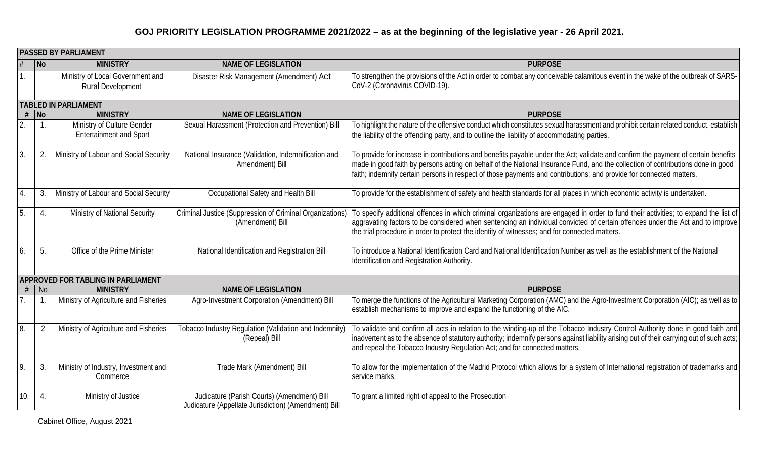|     | <b>PASSED BY PARLIAMENT</b> |                                                              |                                                                                                     |                                                                                                                                                                                                                                                                                                                                                                                             |  |
|-----|-----------------------------|--------------------------------------------------------------|-----------------------------------------------------------------------------------------------------|---------------------------------------------------------------------------------------------------------------------------------------------------------------------------------------------------------------------------------------------------------------------------------------------------------------------------------------------------------------------------------------------|--|
|     | No                          | <b>MINISTRY</b>                                              | <b>NAME OF LEGISLATION</b>                                                                          | <b>PURPOSE</b>                                                                                                                                                                                                                                                                                                                                                                              |  |
| 1.  |                             | Ministry of Local Government and<br><b>Rural Development</b> | Disaster Risk Management (Amendment) Act                                                            | To strengthen the provisions of the Act in order to combat any conceivable calamitous event in the wake of the outbreak of SARS-<br>CoV-2 (Coronavirus COVID-19).                                                                                                                                                                                                                           |  |
|     |                             | <b>TABLED IN PARLIAMENT</b>                                  |                                                                                                     |                                                                                                                                                                                                                                                                                                                                                                                             |  |
| #   | $\vert$ No                  | <b>MINISTRY</b>                                              | <b>NAME OF LEGISLATION</b>                                                                          | <b>PURPOSE</b>                                                                                                                                                                                                                                                                                                                                                                              |  |
| 2.  |                             | Ministry of Culture Gender<br><b>Entertainment and Sport</b> | Sexual Harassment (Protection and Prevention) Bill                                                  | To highlight the nature of the offensive conduct which constitutes sexual harassment and prohibit certain related conduct, establish<br>the liability of the offending party, and to outline the liability of accommodating parties.                                                                                                                                                        |  |
| 3.  | $\overline{2}$              | Ministry of Labour and Social Security                       | National Insurance (Validation, Indemnification and<br>Amendment) Bill                              | To provide for increase in contributions and benefits payable under the Act; validate and confirm the payment of certain benefits<br>made in good faith by persons acting on behalf of the National Insurance Fund, and the collection of contributions done in good<br>faith; indemnify certain persons in respect of those payments and contributions; and provide for connected matters. |  |
| 4.  | 3.                          | Ministry of Labour and Social Security                       | Occupational Safety and Health Bill                                                                 | To provide for the establishment of safety and health standards for all places in which economic activity is undertaken.                                                                                                                                                                                                                                                                    |  |
| 5.  | 4.                          | Ministry of National Security                                | Criminal Justice (Suppression of Criminal Organizations)<br>(Amendment) Bill                        | To specify additional offences in which criminal organizations are engaged in order to fund their activities; to expand the list of<br>aggravating factors to be considered when sentencing an individual convicted of certain offences under the Act and to improve<br>the trial procedure in order to protect the identity of witnesses; and for connected matters.                       |  |
| 6.  | 5.                          | Office of the Prime Minister                                 | National Identification and Registration Bill                                                       | To introduce a National Identification Card and National Identification Number as well as the establishment of the National<br>Identification and Registration Authority.                                                                                                                                                                                                                   |  |
|     |                             | <b>APPROVED FOR TABLING IN PARLIAMENT</b>                    |                                                                                                     |                                                                                                                                                                                                                                                                                                                                                                                             |  |
| #   | No                          | <b>MINISTRY</b>                                              | <b>NAME OF LEGISLATION</b>                                                                          | <b>PURPOSE</b>                                                                                                                                                                                                                                                                                                                                                                              |  |
|     |                             | Ministry of Agriculture and Fisheries                        | Agro-Investment Corporation (Amendment) Bill                                                        | To merge the functions of the Agricultural Marketing Corporation (AMC) and the Agro-Investment Corporation (AIC); as well as to<br>establish mechanisms to improve and expand the functioning of the AIC.                                                                                                                                                                                   |  |
| 8.  | -2                          | Ministry of Agriculture and Fisheries                        | Tobacco Industry Regulation (Validation and Indemnity)<br>(Repeal) Bill                             | To validate and confirm all acts in relation to the winding-up of the Tobacco Industry Control Authority done in good faith and<br>inadvertent as to the absence of statutory authority; indemnify persons against liability arising out of their carrying out of such acts;<br>and repeal the Tobacco Industry Regulation Act; and for connected matters.                                  |  |
| o,  | 3.                          | Ministry of Industry, Investment and<br>Commerce             | Trade Mark (Amendment) Bill                                                                         | To allow for the implementation of the Madrid Protocol which allows for a system of International registration of trademarks and<br>service marks.                                                                                                                                                                                                                                          |  |
| 10. | 4.                          | Ministry of Justice                                          | Judicature (Parish Courts) (Amendment) Bill<br>Judicature (Appellate Jurisdiction) (Amendment) Bill | To grant a limited right of appeal to the Prosecution                                                                                                                                                                                                                                                                                                                                       |  |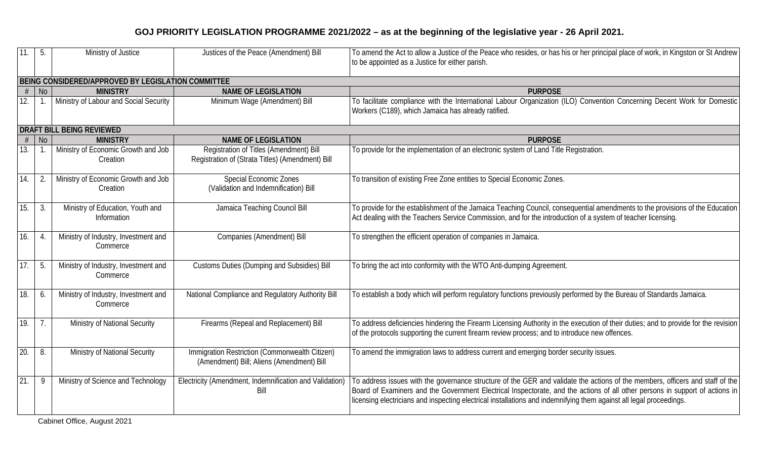| 11.                                                | 5.             | Ministry of Justice                              | Justices of the Peace (Amendment) Bill                                                      | To amend the Act to allow a Justice of the Peace who resides, or has his or her principal place of work, in Kingston or St Andrew<br>to be appointed as a Justice for either parish.                                                                                                                                                                                                 |  |
|----------------------------------------------------|----------------|--------------------------------------------------|---------------------------------------------------------------------------------------------|--------------------------------------------------------------------------------------------------------------------------------------------------------------------------------------------------------------------------------------------------------------------------------------------------------------------------------------------------------------------------------------|--|
| BEING CONSIDERED/APPROVED BY LEGISLATION COMMITTEE |                |                                                  |                                                                                             |                                                                                                                                                                                                                                                                                                                                                                                      |  |
| #                                                  | <b>No</b>      | <b>MINISTRY</b>                                  | <b>NAME OF LEGISLATION</b>                                                                  | <b>PURPOSE</b>                                                                                                                                                                                                                                                                                                                                                                       |  |
| 12.                                                |                | Ministry of Labour and Social Security           | Minimum Wage (Amendment) Bill                                                               | To facilitate compliance with the International Labour Organization (ILO) Convention Concerning Decent Work for Domestic<br>Workers (C189), which Jamaica has already ratified.                                                                                                                                                                                                      |  |
|                                                    |                | <b>DRAFT BILL BEING REVIEWED</b>                 |                                                                                             |                                                                                                                                                                                                                                                                                                                                                                                      |  |
| #                                                  | <b>No</b>      | <b>MINISTRY</b>                                  | <b>NAME OF LEGISLATION</b>                                                                  | <b>PURPOSE</b>                                                                                                                                                                                                                                                                                                                                                                       |  |
| 13.                                                | $\mathbf{1}$ . | Ministry of Economic Growth and Job<br>Creation  | Registration of Titles (Amendment) Bill<br>Registration of (Strata Titles) (Amendment) Bill | To provide for the implementation of an electronic system of Land Title Registration.                                                                                                                                                                                                                                                                                                |  |
| 14.                                                | 2.             | Ministry of Economic Growth and Job<br>Creation  | <b>Special Economic Zones</b><br>(Validation and Indemnification) Bill                      | To transition of existing Free Zone entities to Special Economic Zones.                                                                                                                                                                                                                                                                                                              |  |
| 15.                                                | 3.             | Ministry of Education, Youth and<br>Information  | Jamaica Teaching Council Bill                                                               | To provide for the establishment of the Jamaica Teaching Council, consequential amendments to the provisions of the Education<br>Act dealing with the Teachers Service Commission, and for the introduction of a system of teacher licensing.                                                                                                                                        |  |
| 16.                                                | 4.             | Ministry of Industry, Investment and<br>Commerce | Companies (Amendment) Bill                                                                  | To strengthen the efficient operation of companies in Jamaica.                                                                                                                                                                                                                                                                                                                       |  |
| 17.                                                | 5.             | Ministry of Industry, Investment and<br>Commerce | Customs Duties (Dumping and Subsidies) Bill                                                 | To bring the act into conformity with the WTO Anti-dumping Agreement.                                                                                                                                                                                                                                                                                                                |  |
| 18.                                                | 6.             | Ministry of Industry, Investment and<br>Commerce | National Compliance and Regulatory Authority Bill                                           | To establish a body which will perform regulatory functions previously performed by the Bureau of Standards Jamaica.                                                                                                                                                                                                                                                                 |  |
| 19.                                                | 7.             | Ministry of National Security                    | Firearms (Repeal and Replacement) Bill                                                      | To address deficiencies hindering the Firearm Licensing Authority in the execution of their duties; and to provide for the revision<br>of the protocols supporting the current firearm review process; and to introduce new offences.                                                                                                                                                |  |
| 20.                                                | 8.             | Ministry of National Security                    | Immigration Restriction (Commonwealth Citizen)<br>(Amendment) Bill; Aliens (Amendment) Bill | To amend the immigration laws to address current and emerging border security issues.                                                                                                                                                                                                                                                                                                |  |
| 21.                                                | 9              | Ministry of Science and Technology               | Electricity (Amendment, Indemnification and Validation)<br>Bill                             | To address issues with the governance structure of the GER and validate the actions of the members, officers and staff of the<br>Board of Examiners and the Government Electrical Inspectorate, and the actions of all other persons in support of actions in<br>licensing electricians and inspecting electrical installations and indemnifying them against all legal proceedings. |  |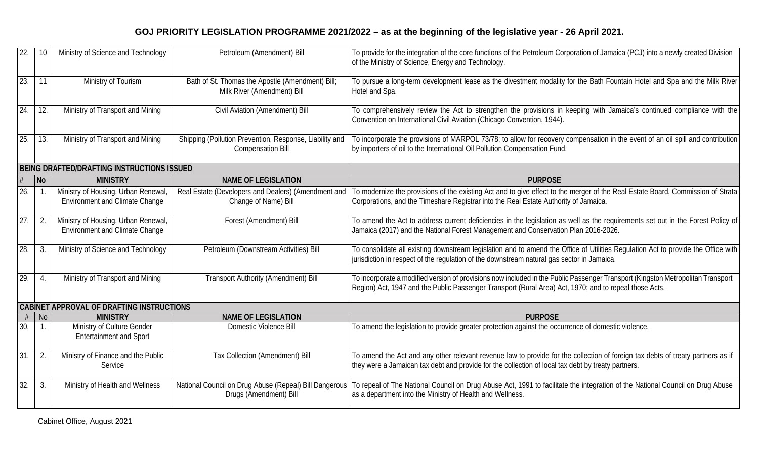| $\overline{22}$ .                         | 10                       | Ministry of Science and Technology                                           | Petroleum (Amendment) Bill                                                          | To provide for the integration of the core functions of the Petroleum Corporation of Jamaica (PCJ) into a newly created Division<br>of the Ministry of Science, Energy and Technology.                                                    |  |
|-------------------------------------------|--------------------------|------------------------------------------------------------------------------|-------------------------------------------------------------------------------------|-------------------------------------------------------------------------------------------------------------------------------------------------------------------------------------------------------------------------------------------|--|
| 23.                                       | 11                       | Ministry of Tourism                                                          | Bath of St. Thomas the Apostle (Amendment) Bill;<br>Milk River (Amendment) Bill     | To pursue a long-term development lease as the divestment modality for the Bath Fountain Hotel and Spa and the Milk River<br>Hotel and Spa.                                                                                               |  |
| 24.                                       | 12.                      | Ministry of Transport and Mining                                             | Civil Aviation (Amendment) Bill                                                     | To comprehensively review the Act to strengthen the provisions in keeping with Jamaica's continued compliance with the<br>Convention on International Civil Aviation (Chicago Convention, 1944).                                          |  |
| 25.                                       | 13.                      | Ministry of Transport and Mining                                             | Shipping (Pollution Prevention, Response, Liability and<br><b>Compensation Bill</b> | To incorporate the provisions of MARPOL 73/78; to allow for recovery compensation in the event of an oil spill and contribution<br>by importers of oil to the International Oil Pollution Compensation Fund.                              |  |
|                                           |                          | BEING DRAFTED/DRAFTING INSTRUCTIONS ISSUED                                   |                                                                                     |                                                                                                                                                                                                                                           |  |
|                                           | $\overline{\mathsf{No}}$ | <b>MINISTRY</b>                                                              | <b>NAME OF LEGISLATION</b>                                                          | <b>PURPOSE</b>                                                                                                                                                                                                                            |  |
| 26.                                       |                          | Ministry of Housing, Urban Renewal,<br><b>Environment and Climate Change</b> | Real Estate (Developers and Dealers) (Amendment and<br>Change of Name) Bill         | To modernize the provisions of the existing Act and to give effect to the merger of the Real Estate Board, Commission of Strata<br>Corporations, and the Timeshare Registrar into the Real Estate Authority of Jamaica.                   |  |
| $\overline{27}$ .                         | $\overline{2}$ .         | Ministry of Housing, Urban Renewal,<br><b>Environment and Climate Change</b> | Forest (Amendment) Bill                                                             | To amend the Act to address current deficiencies in the legislation as well as the requirements set out in the Forest Policy of<br>Jamaica (2017) and the National Forest Management and Conservation Plan 2016-2026.                     |  |
| 28.                                       | 3.                       | Ministry of Science and Technology                                           | Petroleum (Downstream Activities) Bill                                              | To consolidate all existing downstream legislation and to amend the Office of Utilities Regulation Act to provide the Office with<br>jurisdiction in respect of the regulation of the downstream natural gas sector in Jamaica.           |  |
| $\overline{29}$ .                         | $\mathcal{A}$            | Ministry of Transport and Mining                                             | Transport Authority (Amendment) Bill                                                | To incorporate a modified version of provisions now included in the Public Passenger Transport (Kingston Metropolitan Transport<br>Region) Act, 1947 and the Public Passenger Transport (Rural Area) Act, 1970; and to repeal those Acts. |  |
| CABINET APPROVAL OF DRAFTING INSTRUCTIONS |                          |                                                                              |                                                                                     |                                                                                                                                                                                                                                           |  |
|                                           | <b>No</b>                | <b>MINISTRY</b>                                                              | <b>NAME OF LEGISLATION</b>                                                          | <b>PURPOSE</b>                                                                                                                                                                                                                            |  |
| 30.                                       |                          | Ministry of Culture Gender<br><b>Entertainment and Sport</b>                 | Domestic Violence Bill                                                              | To amend the legislation to provide greater protection against the occurrence of domestic violence.                                                                                                                                       |  |
| 31.                                       | 2.                       | Ministry of Finance and the Public<br>Service                                | Tax Collection (Amendment) Bill                                                     | To amend the Act and any other relevant revenue law to provide for the collection of foreign tax debts of treaty partners as if<br>they were a Jamaican tax debt and provide for the collection of local tax debt by treaty partners.     |  |
| 32.                                       | 3.                       | Ministry of Health and Wellness                                              | National Council on Drug Abuse (Repeal) Bill Dangerous<br>Drugs (Amendment) Bill    | To repeal of The National Council on Drug Abuse Act, 1991 to facilitate the integration of the National Council on Drug Abuse<br>as a department into the Ministry of Health and Wellness.                                                |  |
|                                           |                          |                                                                              |                                                                                     |                                                                                                                                                                                                                                           |  |